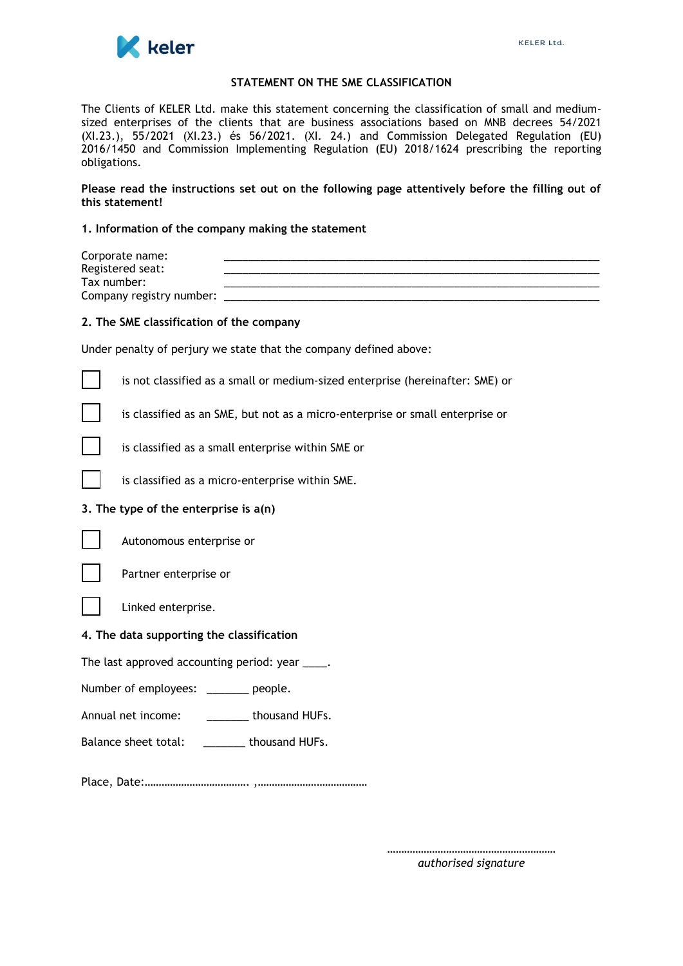

#### **STATEMENT ON THE SME CLASSIFICATION**

The Clients of KELER Ltd. make this statement concerning the classification of small and mediumsized enterprises of the clients that are business associations based on MNB decrees 54/2021 (XI.23.), 55/2021 (XI.23.) és 56/2021. (XI. 24.) and Commission Delegated Regulation (EU) 2016/1450 and Commission Implementing Regulation (EU) 2018/1624 prescribing the reporting obligations.

# **Please read the instructions set out on the following page attentively before the filling out of this statement!**

#### **1. Information of the company making the statement**

| Corporate name:          |  |
|--------------------------|--|
| Registered seat:         |  |
| Tax number:              |  |
| Company registry number: |  |
|                          |  |

# **2. The SME classification of the company**

Under penalty of perjury we state that the company defined above:

is not classified as a small or medium-sized enterprise (hereinafter: SME) or

is classified as an SME, but not as a micro-enterprise or small enterprise or



is classified as a small enterprise within SME or

is classified as a micro-enterprise within SME.

# **3. The type of the enterprise is a(n)**



Autonomous enterprise or



Partner enterprise or

Linked enterprise.

# **4. The data supporting the classification**

The last approved accounting period: year \_\_\_\_.

Number of employees: \_\_\_\_\_\_\_ people.

Annual net income: \_\_\_\_\_\_\_ thousand HUFs.

Balance sheet total: \_\_\_\_\_\_\_ thousand HUFs.

Place, Date:………………………………. ,…………………………………

*…………………………………………………… authorised signature*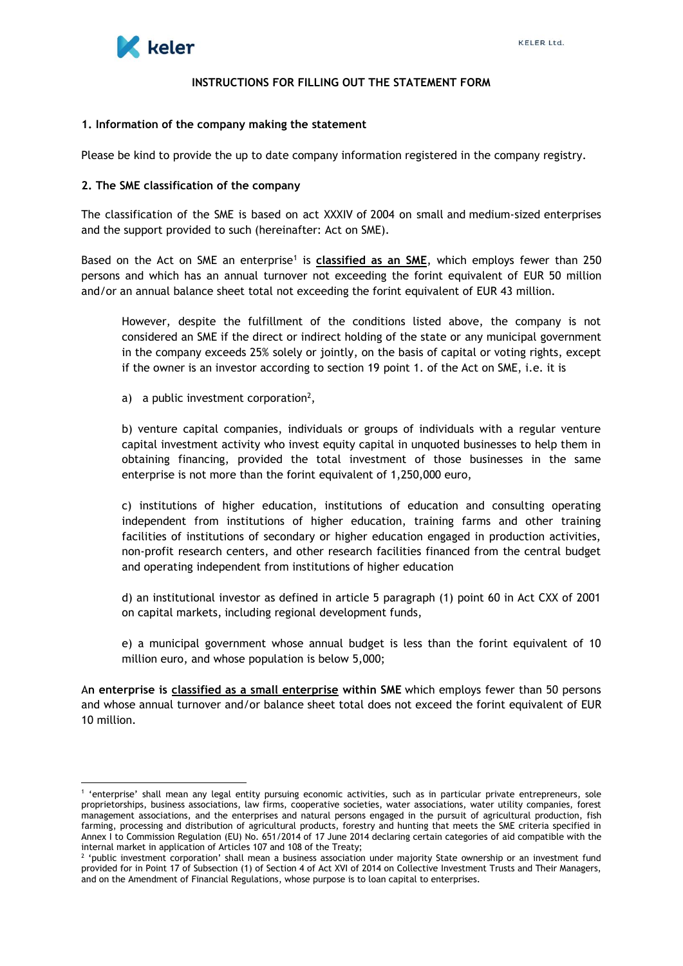

#### **INSTRUCTIONS FOR FILLING OUT THE STATEMENT FORM**

#### **1. Information of the company making the statement**

Please be kind to provide the up to date company information registered in the company registry.

#### **2. The SME classification of the company**

The classification of the SME is based on act XXXIV of 2004 on small and medium-sized enterprises and the support provided to such (hereinafter: Act on SME).

Based on the Act on SME an enterprise<sup>1</sup> is **classified as an SME**, which employs fewer than 250 persons and which has an annual turnover not exceeding the forint equivalent of EUR 50 million and/or an annual balance sheet total not exceeding the forint equivalent of EUR 43 million.

However, despite the fulfillment of the conditions listed above, the company is not considered an SME if the direct or indirect holding of the state or any municipal government in the company exceeds 25% solely or jointly, on the basis of capital or voting rights, except if the owner is an investor according to section 19 point 1. of the Act on SME, i.e. it is

a) a public investment corporation<sup>2</sup>,

b) venture capital companies, individuals or groups of individuals with a regular venture capital investment activity who invest equity capital in unquoted businesses to help them in obtaining financing, provided the total investment of those businesses in the same enterprise is not more than the forint equivalent of 1,250,000 euro,

c) institutions of higher education, institutions of education and consulting operating independent from institutions of higher education, training farms and other training facilities of institutions of secondary or higher education engaged in production activities, non-profit research centers, and other research facilities financed from the central budget and operating independent from institutions of higher education

d) an institutional investor as defined in article 5 paragraph (1) point 60 in Act CXX of 2001 on capital markets, including regional development funds,

e) a municipal government whose annual budget is less than the forint equivalent of 10 million euro, and whose population is below 5,000;

A**n enterprise is classified as a small enterprise within SME** which employs fewer than 50 persons and whose annual turnover and/or balance sheet total does not exceed the forint equivalent of EUR 10 million.

<sup>1</sup> 'enterprise' shall mean any legal entity pursuing economic activities, such as in particular private entrepreneurs, sole proprietorships, business associations, law firms, cooperative societies, water associations, water utility companies, forest management associations, and the enterprises and natural persons engaged in the pursuit of agricultural production, fish farming, processing and distribution of agricultural products, forestry and hunting that meets the SME criteria specified in Annex I to Commission Regulation (EU) No. 651/2014 of 17 June 2014 declaring certain categories of aid compatible with the internal market in application of Articles 107 and 108 of the Treaty;

<sup>&</sup>lt;sup>2</sup> 'public investment corporation' shall mean a business association under majority State ownership or an investment fund provided for in Point 17 of Subsection (1) of Section 4 of Act XVI of 2014 on Collective Investment Trusts and Their Managers, and on the Amendment of Financial Regulations, whose purpose is to loan capital to enterprises.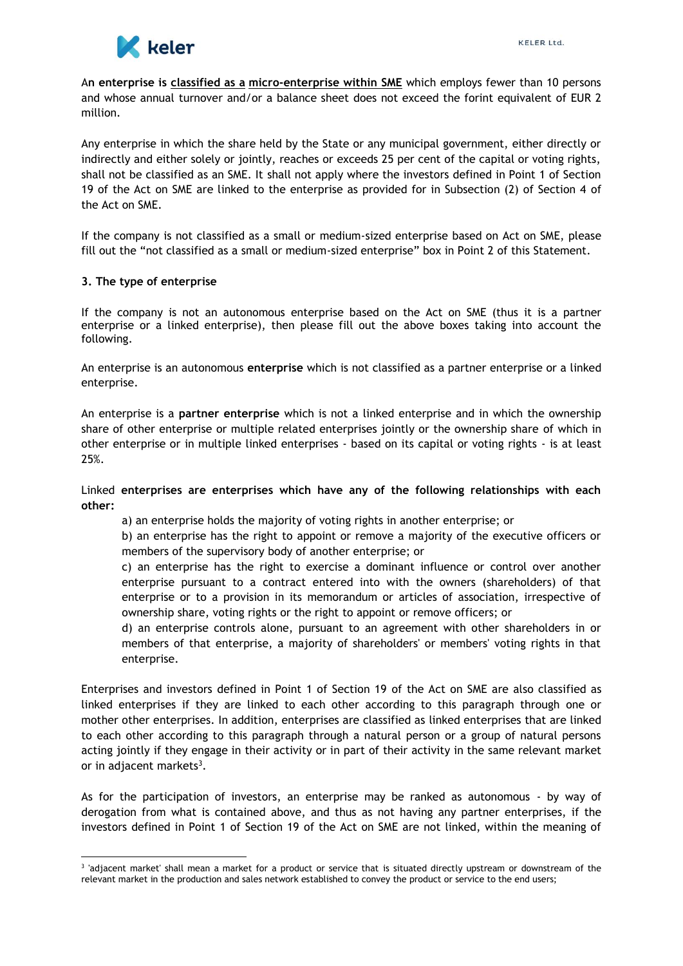

A**n enterprise is classified as a micro-enterprise within SME** which employs fewer than 10 persons and whose annual turnover and/or a balance sheet does not exceed the forint equivalent of EUR 2 million.

Any enterprise in which the share held by the State or any municipal government, either directly or indirectly and either solely or jointly, reaches or exceeds 25 per cent of the capital or voting rights, shall not be classified as an SME. It shall not apply where the investors defined in Point 1 of Section 19 of the Act on SME are linked to the enterprise as provided for in Subsection (2) of Section 4 of the Act on SME.

If the company is not classified as a small or medium-sized enterprise based on Act on SME, please fill out the "not classified as a small or medium-sized enterprise" box in Point 2 of this Statement.

# **3. The type of enterprise**

If the company is not an autonomous enterprise based on the Act on SME (thus it is a partner enterprise or a linked enterprise), then please fill out the above boxes taking into account the following.

An enterprise is an autonomous **enterprise** which is not classified as a partner enterprise or a linked enterprise.

An enterprise is a **partner enterprise** which is not a linked enterprise and in which the ownership share of other enterprise or multiple related enterprises jointly or the ownership share of which in other enterprise or in multiple linked enterprises - based on its capital or voting rights - is at least 25%.

# Linked **enterprises are enterprises which have any of the following relationships with each other:**

a) an enterprise holds the majority of voting rights in another enterprise; or

b) an enterprise has the right to appoint or remove a majority of the executive officers or members of the supervisory body of another enterprise; or

c) an enterprise has the right to exercise a dominant influence or control over another enterprise pursuant to a contract entered into with the owners (shareholders) of that enterprise or to a provision in its memorandum or articles of association, irrespective of ownership share, voting rights or the right to appoint or remove officers; or

d) an enterprise controls alone, pursuant to an agreement with other shareholders in or members of that enterprise, a majority of shareholders' or members' voting rights in that enterprise.

Enterprises and investors defined in Point 1 of Section 19 of the Act on SME are also classified as linked enterprises if they are linked to each other according to this paragraph through one or mother other enterprises. In addition, enterprises are classified as linked enterprises that are linked to each other according to this paragraph through a natural person or a group of natural persons acting jointly if they engage in their activity or in part of their activity in the same relevant market or in adjacent markets<sup>3</sup>.

As for the participation of investors, an enterprise may be ranked as autonomous - by way of derogation from what is contained above, and thus as not having any partner enterprises, if the investors defined in Point 1 of Section 19 of the Act on SME are not linked, within the meaning of

<sup>3</sup> 'adjacent market' shall mean a market for a product or service that is situated directly upstream or downstream of the relevant market in the production and sales network established to convey the product or service to the end users;